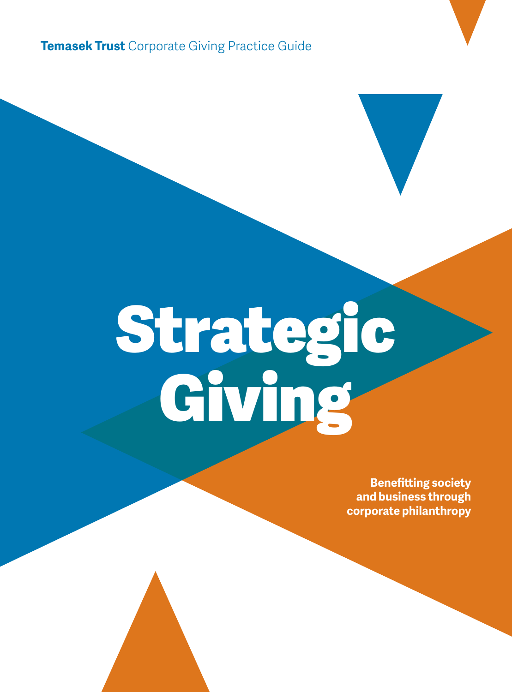**Temasek Trust** Corporate Giving Practice Guide

# Strategic Giving

**Benefitting society and business through corporate philanthropy**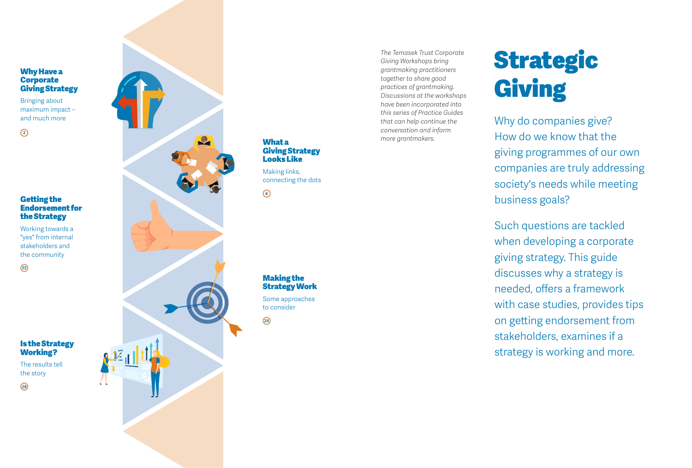# Why Have a **Corporate** Giving Strategy

Bringing about maximum impact – and much more

**2**

# Getting the Endorsement for the Strategy

Working towards a "yes" from internal stakeholders and the community

Is the Strategy Working? The results tell the story

**22**

**28**



What a Giving Strategy Looks Like

Making links, connecting the dots

Making the Strategy Work Some approaches to consider

**24**

*The Temasek Trust Corporate Giving Workshops bring grantmaking practitioners together to share good practices of grantmaking. Discussions at the workshops have been incorporated into this series of Practice Guides that can help continue the conversation and inform more grantmakers.*

# Strategic Giving

Why do companies give? How do we know that the giving programmes of our own companies are truly addressing society's needs while meeting business goals?

Such questions are tackled when developing a corporate giving strategy. This guide discusses why a strategy is needed, offers a framework with case studies, provides tips on getting endorsement from stakeholders, examines if a strategy is working and more.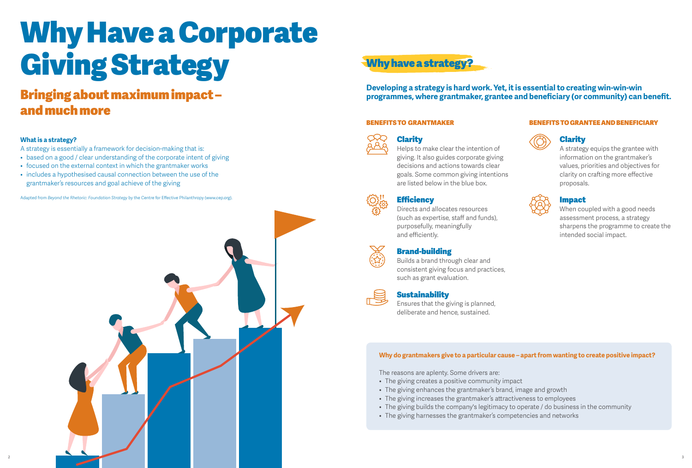# Why Have a Corporate Giving Strategy Why have a strategy?

# and much more

# **What is a strategy?**

A strategy is essentially a framework for decision-making that is:

- based on a good / clear understanding of the corporate intent of giving
- focused on the external context in which the grantmaker works
- includes a hypothesised causal connection between the use of the grantmaker's resources and goal achieve of the giving

Adapted from *Beyond the Rhetoric: Foundation Strategy* by the Centre for Effective Philanthropy (www.cep.org).



**Developing a strategy is hard work. Yet, it is essential to creating win-win-win <b>Programmes** where grantmaker, grantee and beneficiary (or community) can benefit.

# BENEFITS TO GRANTMAKER



Helps to make clear the intention of giving. It also guides corporate giving decisions and actions towards clear goals. Some common giving intentions are listed below in the blue box.

# **Efficiency**

Directs and allocates resources (such as expertise, staff and funds), purposefully, meaningfully and efficiently.



# Brand-building

Builds a brand through clear and consistent giving focus and practices, such as grant evaluation.



# **Sustainability**

Ensures that the giving is planned, deliberate and hence, sustained.

# BENEFITS TO GRANTEE AND BENEFICIARY



# Clarity

A strategy equips the grantee with information on the grantmaker's values, priorities and objectives for clarity on crafting more effective proposals.

# Impact

When coupled with a good needs assessment process, a strategy sharpens the programme to create the intended social impact.

# **Why do grantmakers give to a particular cause – apart from wanting to create positive impact?**

The reasons are aplenty. Some drivers are:

- The giving creates a positive community impact
- The giving enhances the grantmaker's brand, image and growth
- The giving increases the grantmaker's attractiveness to employees
- The giving builds the company's legitimacy to operate / do business in the community
- The giving harnesses the grantmaker's competencies and networks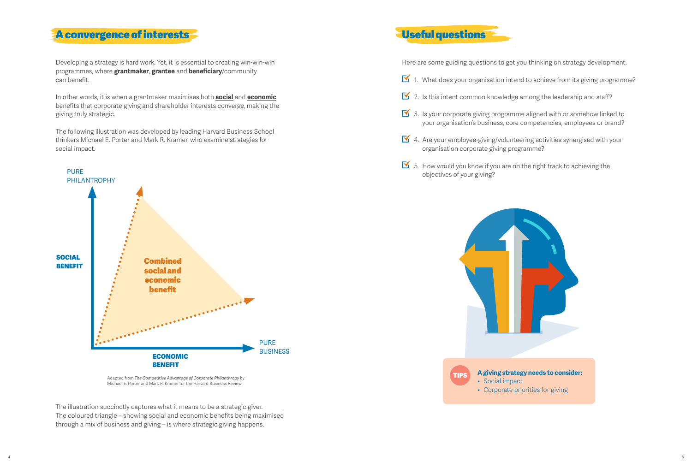# A convergence of interests

Developing a strategy is hard work. Yet, it is essential to creating win-win-win programmes, where **grantmaker**, **grantee** and **beneficiary**/community can benefit.

In other words, it is when a grantmaker maximises both **social** and **economic** benefits that corporate giving and shareholder interests converge, making the giving truly strategic.

The following illustration was developed by leading Harvard Business School thinkers Michael E. Porter and Mark R. Kramer, who examine strategies for social impact.



Adapted from *The Competitive Advantage of Corporate Philanthropy* by Michael E. Porter and Mark R. Kramer for the Harvard Business Review.

The illustration succinctly captures what it means to be a strategic giver. The coloured triangle – showing social and economic benefits being maximised through a mix of business and giving – is where strategic giving happens.

# Useful questions

Here are some guiding questions to get you thinking on strategy development.

- $\mathbf{\overline{Y}}$  1. What does your organisation intend to achieve from its giving programme?
- $\overline{\mathbf{S}}$  2. Is this intent common knowledge among the leadership and staff?
- $\overline{S}$  3. Is your corporate giving programme aligned with or somehow linked to your organisation's business, core competencies, employees or brand?
- 4. Are your employee-giving/volunteering activities synergised with your organisation corporate giving programme?
- $\overline{\mathbb{S}}$  5. How would you know if you are on the right track to achieving the objectives of your giving?

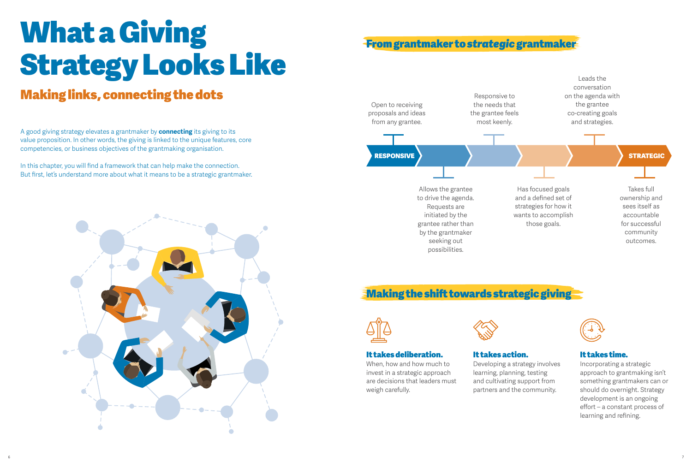# What a Giving Strategy Looks Like

# Making links, connecting the dots

A good giving strategy elevates a grantmaker by **connecting** its giving to its value proposition. In other words, the giving is linked to the unique features, core competencies, or business objectives of the grantmaking organisation.

In this chapter, you will find a framework that can help make the connection. But first, let's understand more about what it means to be a strategic grantmaker.



# From grantmaker to *strategic* grantmaker



# **Making the shift towards strategic giving**



# It takes deliberation.

When, how and how much to invest in a strategic approach are decisions that leaders must weigh carefully.

# It takes action.

Developing a strategy involves learning, planning, testing and cultivating support from partners and the community.



# It takes time.

Incorporating a strategic approach to grantmaking isn't something grantmakers can or should do overnight. Strategy development is an ongoing effort – a constant process of learning and refining.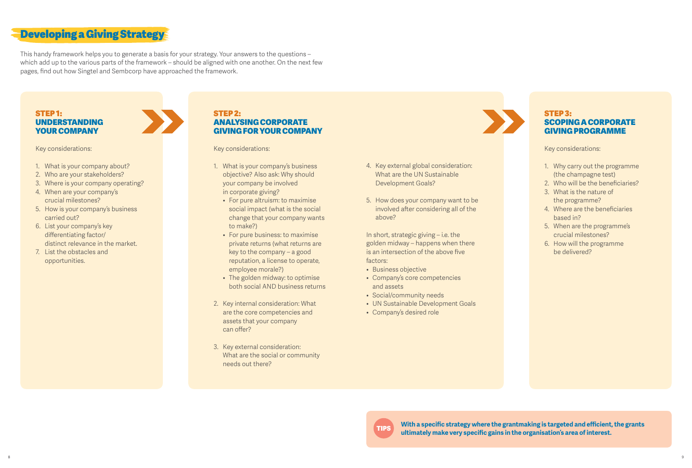# Developing a Giving Strategy

This handy framework helps you to generate a basis for your strategy. Your answers to the questions – which add up to the various parts of the framework – should be aligned with one another. On the next few pages, find out how Singtel and Sembcorp have approached the framework.

# STEP 1: UNDERSTANDING YOUR COMPANY

Key considerations:

- 1. What is your company about?
- 2. Who are your stakeholders?
- 3. Where is your company operating?
- 4. When are your company's crucial milestones?
- 5. How is your company's business carried out?
- 6. List your company's key differentiating factor/ distinct relevance in the market.
- 7. List the obstacles and opportunities.

# STEP 2: ANALYSING CORPORATE GIVING FOR YOUR COMPANY

Key considerations:

- 1. What is your company's business objective? Also ask: Why should your company be involved in corporate giving?
	- For pure altruism: to maximise social impact (what is the social change that your company wants to make?)
- For pure business: to maximise private returns (what returns are key to the company – a good reputation, a license to operate, employee morale?)
- The golden midway: to optimise both social AND business returns
- 2. Key internal consideration: What are the core competencies and assets that your company can offer?
- 3. Key external consideration: What are the social or community needs out there?
- 4. Key external global consideration: What are the UN Sustainable Development Goals?
- 5. How does your company want to be involved after considering all of the above?

In short, strategic giving – i.e. the golden midway – happens when there is an intersection of the above five factors:

- Business objective
- Company's core competencies and assets
- Social/community needs
- UN Sustainable Development Goals
- Company's desired role



# STEP 3: SCOPING A CORPORATE GIVING PROGRAMME

Key considerations:

- 1. Why carry out the programme (the champagne test)
- 2. Who will be the beneficiaries?
- 3. What is the nature of the programme?
- 4. Where are the beneficiaries based in?
- 5. When are the programme's crucial milestones?
- 6. How will the programme be delivered?

**With a specific strategy where the grantmaking is targeted and efficient, the grants ultimately make very specific gains in the organisation's area of interest.** TIPS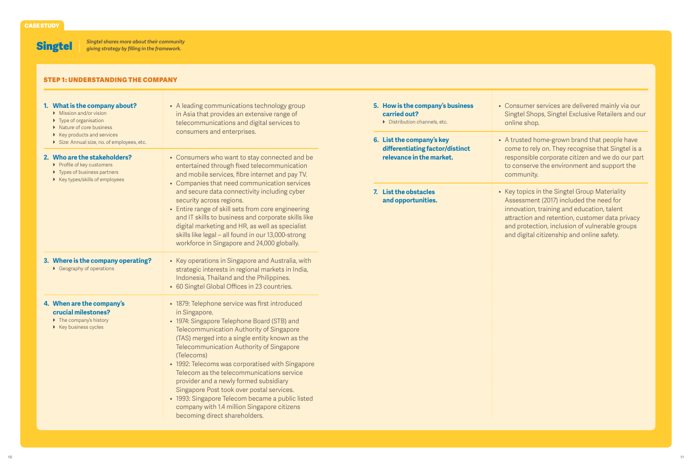Singtel *Singtel shares more about their community giving strategy by filling in the framework.*

# Step 1: Understanding the Company

| 1. What is the company about?<br>Mission and/or vision<br>$\triangleright$ Type of organisation<br>▶ Nature of core business<br>▶ Key products and services<br>Size: Annual size, no. of employees, etc. | • A leading communications technology group<br>in Asia that provides an extensive range of<br>telecommunications and digital services to<br>consumers and enterprises.                                                                                                                                                                                                                                                                                                                                                                                                                             | 5. How is the company's business<br>carried out?<br>Distribution channels, etc.<br>6. List the company's key | • Consumer services are delivered mainly via our<br>Singtel Shops, Singtel Exclusive Retailers and our<br>online shop.<br>• A trusted home-grown brand that people have                                                                                                                   |
|----------------------------------------------------------------------------------------------------------------------------------------------------------------------------------------------------------|----------------------------------------------------------------------------------------------------------------------------------------------------------------------------------------------------------------------------------------------------------------------------------------------------------------------------------------------------------------------------------------------------------------------------------------------------------------------------------------------------------------------------------------------------------------------------------------------------|--------------------------------------------------------------------------------------------------------------|-------------------------------------------------------------------------------------------------------------------------------------------------------------------------------------------------------------------------------------------------------------------------------------------|
| 2. Who are the stakeholders?<br>▶ Profile of key customers<br>▶ Types of business partners<br>▶ Key types/skills of employees                                                                            | • Consumers who want to stay connected and be<br>entertained through fixed telecommunication<br>and mobile services, fibre internet and pay TV.<br>• Companies that need communication services                                                                                                                                                                                                                                                                                                                                                                                                    | differentiating factor/distinct<br>relevance in the market.                                                  | come to rely on. They recognise that Singtel is a<br>responsible corporate citizen and we do our part<br>to conserve the environment and support the<br>community.                                                                                                                        |
|                                                                                                                                                                                                          | and secure data connectivity including cyber<br>security across regions.<br>• Entire range of skill sets from core engineering<br>and IT skills to business and corporate skills like<br>digital marketing and HR, as well as specialist<br>skills like legal - all found in our 13,000-strong<br>workforce in Singapore and 24,000 globally.                                                                                                                                                                                                                                                      | 7. List the obstacles<br>and opportunities.                                                                  | • Key topics in the Singtel Group Materiality<br>Assessment (2017) included the need for<br>innovation, training and education, talent<br>attraction and retention, customer data privacy<br>and protection, inclusion of vulnerable groups<br>and digital citizenship and online safety. |
| 3. Where is the company operating?<br>$\triangleright$ Geography of operations                                                                                                                           | • Key operations in Singapore and Australia, with<br>strategic interests in regional markets in India,<br>Indonesia, Thailand and the Philippines.<br>• 60 Singtel Global Offices in 23 countries.                                                                                                                                                                                                                                                                                                                                                                                                 |                                                                                                              |                                                                                                                                                                                                                                                                                           |
| 4. When are the company's<br>crucial milestones?<br>$\triangleright$ The company's history<br>$\triangleright$ Key business cycles                                                                       | • 1879: Telephone service was first introduced<br>in Singapore.<br>• 1974: Singapore Telephone Board (STB) and<br>Telecommunication Authority of Singapore<br>(TAS) merged into a single entity known as the<br>Telecommunication Authority of Singapore<br>(Telecoms)<br>• 1992: Telecoms was corporatised with Singapore<br>Telecom as the telecommunications service<br>provider and a newly formed subsidiary<br>Singapore Post took over postal services.<br>• 1993: Singapore Telecom became a public listed<br>company with 1.4 million Singapore citizens<br>becoming direct shareholders. |                                                                                                              |                                                                                                                                                                                                                                                                                           |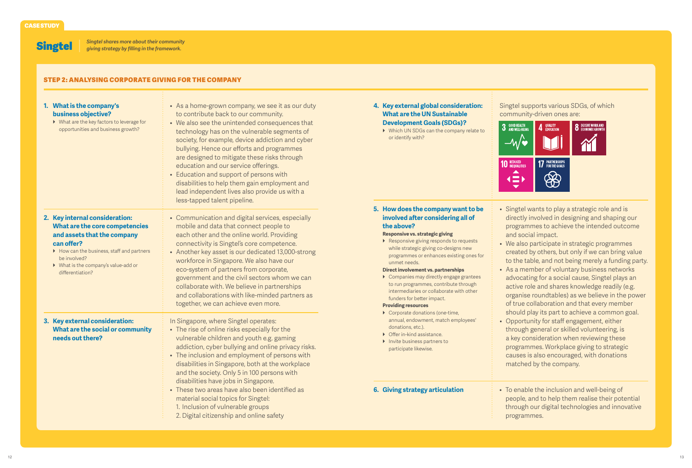**Singtel** 

*Singtel shares more about their community giving strategy by filling in the framework.*

## Step 2: Analysing Corporate Giving for the Company

| 1. What is the company's<br>business objective?<br>▶ What are the key factors to leverage for<br>opportunities and business growth?                                                                                                   | • As a home-grown company, we see it as our duty<br>to contribute back to our community.<br>• We also see the unintended consequences that<br>technology has on the vulnerable segments of<br>society, for example, device addiction and cyber<br>bullying. Hence our efforts and programmes<br>are designed to mitigate these risks through<br>education and our service offerings.<br>• Education and support of persons with<br>disabilities to help them gain employment and<br>lead independent lives also provide us with a<br>less-tapped talent pipeline. | 4. Key external global consideration:<br><b>What are the UN Sustainable</b><br><b>Development Goals (SDGs)?</b><br>▶ Which UN SDGs can the company relate to<br>or identify with?                                                                                                                                                                                                                                                                                                                           | Singtel supports various SDGs, of which<br>community-driven ones are:<br>3 GOOD HEALTH<br>3 AND WELL-BEING<br><b>8</b> DECENT WORK AND<br>QUALITY<br>Education<br>$-\mathcal{U}$<br><b>17 PARTNERSHIPS</b><br>FOR THE GOALS<br><b>10 REDUCED</b><br>▲<br>$\bigcirc\!\!\!\!\!\!\! \bigcirc\!\!\!\!\!\! \infty$<br>$\left( \equiv \right)$                                                                                                                                                                                                                                                   |
|---------------------------------------------------------------------------------------------------------------------------------------------------------------------------------------------------------------------------------------|-------------------------------------------------------------------------------------------------------------------------------------------------------------------------------------------------------------------------------------------------------------------------------------------------------------------------------------------------------------------------------------------------------------------------------------------------------------------------------------------------------------------------------------------------------------------|-------------------------------------------------------------------------------------------------------------------------------------------------------------------------------------------------------------------------------------------------------------------------------------------------------------------------------------------------------------------------------------------------------------------------------------------------------------------------------------------------------------|--------------------------------------------------------------------------------------------------------------------------------------------------------------------------------------------------------------------------------------------------------------------------------------------------------------------------------------------------------------------------------------------------------------------------------------------------------------------------------------------------------------------------------------------------------------------------------------------|
| 2. Key internal consideration:<br>What are the core competencies<br>and assets that the company<br>can offer?<br>How can the business, staff and partners<br>be involved?<br>• What is the company's value-add or<br>differentiation? | • Communication and digital services, especially<br>mobile and data that connect people to<br>each other and the online world. Providing<br>connectivity is Singtel's core competence.<br>• Another key asset is our dedicated 13,000-strong<br>workforce in Singapore. We also have our<br>eco-system of partners from corporate,<br>government and the civil sectors whom we can<br>collaborate with. We believe in partnerships<br>and collaborations with like-minded partners as<br>together, we can achieve even more.                                      | 5. How does the company want to be<br>involved after considering all of<br>the above?<br>Responsive vs. strategic giving<br>▶ Responsive giving responds to requests<br>while strategic giving co-designs new<br>programmes or enhances existing ones for<br>unmet needs.<br>Direct involvement vs. partnerships<br>Companies may directly engage grantees<br>to run programmes, contribute through<br>intermediaries or collaborate with other<br>funders for better impact.<br><b>Providing resources</b> | • Singtel wants to play a strategic role and is<br>directly involved in designing and shaping our<br>programmes to achieve the intended outcome<br>and social impact.<br>• We also participate in strategic programmes<br>created by others, but only if we can bring value<br>to the table, and not being merely a funding party.<br>• As a member of voluntary business networks<br>advocating for a social cause, Singtel plays an<br>active role and shares knowledge readily (e.g.<br>organise roundtables) as we believe in the power<br>of true collaboration and that every member |
| 3. Key external consideration:<br>What are the social or community<br>needs out there?                                                                                                                                                | In Singapore, where Singtel operates:<br>• The rise of online risks especially for the<br>vulnerable children and youth e.g. gaming<br>addiction, cyber bullying and online privacy risks.<br>• The inclusion and employment of persons with<br>disabilities in Singapore, both at the workplace<br>and the society. Only 5 in 100 persons with                                                                                                                                                                                                                   | Corporate donations (one-time,<br>annual, endowment, match employees'<br>donations, etc.).<br>▶ Offer in-kind assistance.<br>Invite business partners to<br>participate likewise.                                                                                                                                                                                                                                                                                                                           | should play its part to achieve a common goal.<br>• Opportunity for staff engagement, either<br>through general or skilled volunteering, is<br>a key consideration when reviewing these<br>programmes. Workplace giving to strategic<br>causes is also encouraged, with donations<br>matched by the company.                                                                                                                                                                                                                                                                               |
|                                                                                                                                                                                                                                       | disabilities have jobs in Singapore.<br>• These two areas have also been identified as<br>material social topics for Singtel:<br>1. Inclusion of vulnerable groups<br>2. Digital citizenship and online safety                                                                                                                                                                                                                                                                                                                                                    | 6. Giving strategy articulation                                                                                                                                                                                                                                                                                                                                                                                                                                                                             | • To enable the inclusion and well-being of<br>people, and to help them realise their potential<br>through our digital technologies and innovative<br>programmes.                                                                                                                                                                                                                                                                                                                                                                                                                          |

#### 12<br>12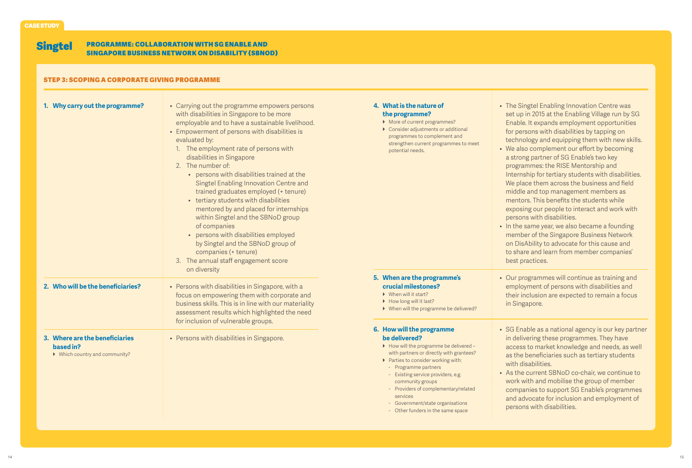#### Singtel Programme: Collaboration with SG Enable and Singapore Business Network on DisAbility (SBNoD)

# Step 3: Scoping a Corporate Giving Programme

| 1. Why carry out the programme?                                               | • Carrying out the programme empowers persons<br>with disabilities in Singapore to be more<br>employable and to have a sustainable livelihood.<br>• Empowerment of persons with disabilities is<br>evaluated by:<br>1. The employment rate of persons with<br>disabilities in Singapore<br>2. The number of:<br>• persons with disabilities trained at the<br>Singtel Enabling Innovation Centre and<br>trained graduates employed (+ tenure)<br>• tertiary students with disabilities<br>mentored by and placed for internships<br>within Singtel and the SBNoD group<br>of companies<br>• persons with disabilities employed<br>by Singtel and the SBNoD group of<br>companies (+ tenure)<br>3. The annual staff engagement score<br>on diversity | 4. What is the nature of<br>the programme?<br>• More of current programmes?<br>▶ Consider adjustments or additional<br>programmes to complement and<br>strengthen current programmes to meet<br>potential needs.                                                                                                                                                                        | • The Singtel Enabling Innovation Centre was<br>set up in 2015 at the Enabling Village run by SG<br>Enable. It expands employment opportunities<br>for persons with disabilities by tapping on<br>technology and equipping them with new skills.<br>• We also complement our effort by becoming<br>a strong partner of SG Enable's two key<br>programmes: the RISE Mentorship and<br>Internship for tertiary students with disabilities.<br>We place them across the business and field<br>middle and top management members as<br>mentors. This benefits the students while<br>exposing our people to interact and work with<br>persons with disabilities.<br>• In the same year, we also became a founding<br>member of the Singapore Business Network<br>on DisAbility to advocate for this cause and<br>to share and learn from member companies'<br>best practices. |
|-------------------------------------------------------------------------------|-----------------------------------------------------------------------------------------------------------------------------------------------------------------------------------------------------------------------------------------------------------------------------------------------------------------------------------------------------------------------------------------------------------------------------------------------------------------------------------------------------------------------------------------------------------------------------------------------------------------------------------------------------------------------------------------------------------------------------------------------------|-----------------------------------------------------------------------------------------------------------------------------------------------------------------------------------------------------------------------------------------------------------------------------------------------------------------------------------------------------------------------------------------|--------------------------------------------------------------------------------------------------------------------------------------------------------------------------------------------------------------------------------------------------------------------------------------------------------------------------------------------------------------------------------------------------------------------------------------------------------------------------------------------------------------------------------------------------------------------------------------------------------------------------------------------------------------------------------------------------------------------------------------------------------------------------------------------------------------------------------------------------------------------------|
| 2. Who will be the beneficiaries?                                             | • Persons with disabilities in Singapore, with a<br>focus on empowering them with corporate and<br>business skills. This is in line with our materiality<br>assessment results which highlighted the need                                                                                                                                                                                                                                                                                                                                                                                                                                                                                                                                           | 5. When are the programme's<br>crucial milestones?<br>$\triangleright$ When will it start?<br>How long will it last?<br>▶ When will the programme be delivered?                                                                                                                                                                                                                         | • Our programmes will continue as training and<br>employment of persons with disabilities and<br>their inclusion are expected to remain a focus<br>in Singapore.                                                                                                                                                                                                                                                                                                                                                                                                                                                                                                                                                                                                                                                                                                         |
| 3. Where are the beneficiaries<br>based in?<br>• Which country and community? | for inclusion of vulnerable groups.<br>• Persons with disabilities in Singapore.                                                                                                                                                                                                                                                                                                                                                                                                                                                                                                                                                                                                                                                                    | 6. How will the programme<br>be delivered?<br>• How will the programme be delivered -<br>with partners or directly with grantees?<br>▶ Parties to consider working with:<br>- Programme partners<br>- Existing service providers, e.g.<br>community groups<br>- Providers of complementary/related<br>services<br>- Government/state organisations<br>- Other funders in the same space | • SG Enable as a national agency is our key partner<br>in delivering these programmes. They have<br>access to market knowledge and needs, as well<br>as the beneficiaries such as tertiary students<br>with disabilities.<br>• As the current SBNoD co-chair, we continue to<br>work with and mobilise the group of member<br>companies to support SG Enable's programmes<br>and advocate for inclusion and employment of<br>persons with disabilities.                                                                                                                                                                                                                                                                                                                                                                                                                  |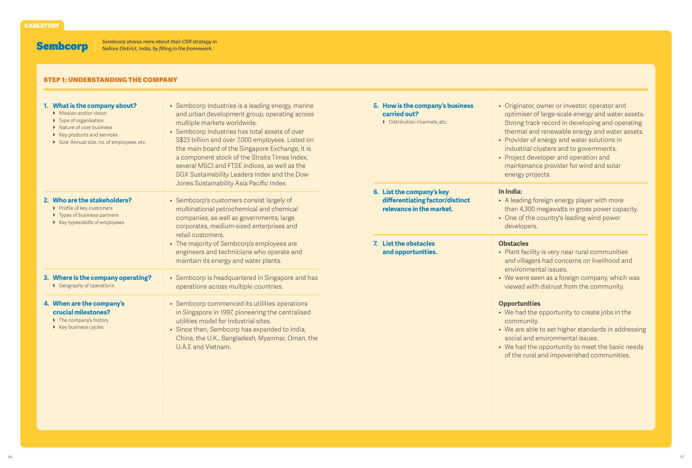Sembcorp

÷.

# Step 1: Understanding the Company

| 1. What is the company about?<br>$\triangleright$ Mission and/or vision<br>$\triangleright$ Type of organisation<br>▶ Nature of core business<br>$\triangleright$ Key products and services<br>Size: Annual size, no. of employees, etc. | • Sembcorp Industries is a leading energy, marine<br>and urban development group, operating across<br>multiple markets worldwide.<br>• Sembcorp Industries has total assets of over<br>S\$23 billion and over 7,000 employees. Listed on<br>the main board of the Singapore Exchange, it is<br>a component stock of the Straits Times Index,<br>several MSCI and FTSE indices, as well as the<br>SGX Sustainability Leaders Index and the Dow<br>Jones Sustainability Asia Pacific Index. | 5. How is the company's business<br>carried out?<br>$\triangleright$ Distribution channels, etc.                                        | • Originator, owner or investor, operator and<br>optimiser of large-scale energy and water assets.<br>Strong track record in developing and operating<br>thermal and renewable energy and water assets.<br>• Provider of energy and water solutions in<br>industrial clusters and to governments.<br>• Project developer and operation and<br>maintenance provider for wind and solar<br>energy projects. |
|------------------------------------------------------------------------------------------------------------------------------------------------------------------------------------------------------------------------------------------|-------------------------------------------------------------------------------------------------------------------------------------------------------------------------------------------------------------------------------------------------------------------------------------------------------------------------------------------------------------------------------------------------------------------------------------------------------------------------------------------|-----------------------------------------------------------------------------------------------------------------------------------------|-----------------------------------------------------------------------------------------------------------------------------------------------------------------------------------------------------------------------------------------------------------------------------------------------------------------------------------------------------------------------------------------------------------|
| 2. Who are the stakeholders?<br>▶ Profile of key customers<br>▶ Types of business partners<br>▶ Key types/skills of employees                                                                                                            | • Sembcorp's customers consist largely of<br>multinational petrochemical and chemical<br>companies, as well as governments, large<br>corporates, medium-sized enterprises and<br>retail customers.<br>• The majority of Sembcorp's employees are<br>engineers and technicians who operate and<br>maintain its energy and water plants.                                                                                                                                                    | 6. List the company's key<br>differentiating factor/distinct<br>relevance in the market.<br>7. List the obstacles<br>and opportunities. | In India:<br>• A leading foreign energy player with more<br>than 4,300 megawatts in gross power capacity.<br>• One of the country's leading wind power<br>developers.<br><b>Obstacles</b><br>• Plant facility is very near rural communities<br>and villagers had concerns on livelihood and                                                                                                              |
| 3. Where is the company operating?<br>$\triangleright$ Geography of operations<br>4. When are the company's<br>crucial milestones?<br>$\triangleright$ The company's history<br>▶ Key business cycles                                    | • Sembcorp is headquartered in Singapore and has<br>operations across multiple countries.<br>• Sembcorp commenced its utilities operations<br>in Singapore in 1997, pioneering the centralised<br>utilities model for industrial sites.<br>• Since then, Sembcorp has expanded to India,<br>China, the U.K., Bangladesh, Myanmar, Oman, the<br>U.A.E and Vietnam.                                                                                                                         |                                                                                                                                         | environmental issues.<br>• We were seen as a foreign company, which was<br>viewed with distrust from the community.<br><b>Opportunities</b><br>• We had the opportunity to create jobs in the<br>community.<br>• We are able to set higher standards in addressing<br>social and environmental issues.<br>• We had the opportunity to meet the basic needs<br>of the rural and impoverished communities.  |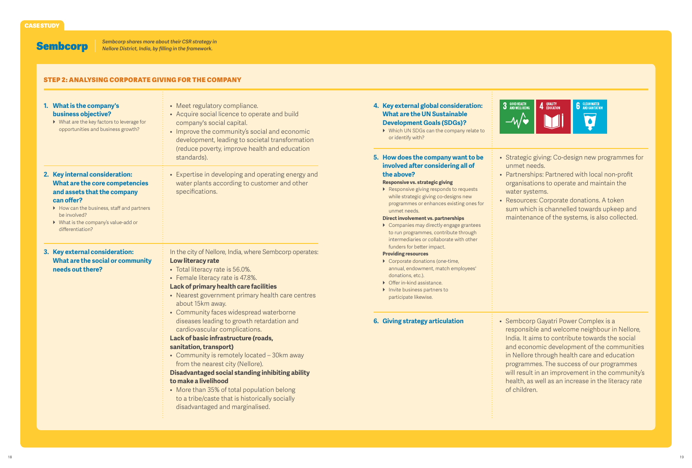Sembcorp

#### Step 2: Analysing Corporate Giving for the Company

| 1. What is the company's<br>business objective?<br>▶ What are the key factors to leverage for<br>opportunities and business growth?                                                                                                   | • Meet regulatory compliance.<br>• Acquire social licence to operate and build<br>company's social capital.<br>• Improve the community's social and economic<br>development, leading to societal transformation<br>(reduce poverty, improve health and education<br>standards).                                                                                                                                                                                                                                                                                                                                                                                                                                                                                     |
|---------------------------------------------------------------------------------------------------------------------------------------------------------------------------------------------------------------------------------------|---------------------------------------------------------------------------------------------------------------------------------------------------------------------------------------------------------------------------------------------------------------------------------------------------------------------------------------------------------------------------------------------------------------------------------------------------------------------------------------------------------------------------------------------------------------------------------------------------------------------------------------------------------------------------------------------------------------------------------------------------------------------|
| 2. Key internal consideration:<br>What are the core competencies<br>and assets that the company<br>can offer?<br>How can the business, staff and partners<br>be involved?<br>▶ What is the company's value-add or<br>differentiation? | • Expertise in developing and operating energy and<br>water plants according to customer and other<br>specifications.                                                                                                                                                                                                                                                                                                                                                                                                                                                                                                                                                                                                                                               |
| 3. Key external consideration:<br>What are the social or community<br>needs out there?                                                                                                                                                | In the city of Nellore, India, where Sembcorp operates:<br>Low literacy rate<br>• Total literacy rate is 56.0%.<br>• Female literacy rate is 47.8%.<br>Lack of primary health care facilities<br>• Nearest government primary health care centres<br>about 15km away.<br>• Community faces widespread waterborne<br>diseases leading to growth retardation and<br>cardiovascular complications.<br>Lack of basic infrastructure (roads,<br>sanitation, transport)<br>• Community is remotely located - 30km away<br>from the nearest city (Nellore).<br>Disadvantaged social standing inhibiting ability<br>to make a livelihood<br>• More than 35% of total population belong<br>to a tribe/caste that is historically socially<br>disadvantaged and marginalised. |

- **4. Key external global consideration: What are the UN Sustainable Development Goals (SDGs)?**
	- ▶ Which UN SDGs can the company relate to or identify with?

**5. How does the company want to be involved after considering all of the above?**

#### **Responsive vs. strategic giving**

▶ Responsive giving responds to requests while strategic giving co-designs new programmes or enhances existing ones for unmet needs.

#### **Direct involvement vs. partnerships**

} Companies may directly engage grantees to run programmes, contribute through intermediaries or collaborate with other funders for better impact.

#### **Providing resources**

- ▶ Corporate donations (one-time, annual, endowment, match employees' donations, etc.).
- $\triangleright$  Offer in-kind assistance. ▶ Invite business partners to participate likewise.

## **6. Giving strategy articulation**

• Sembcorp Gayatri Power Complex is a responsible and welcome neighbour in Nellore, India. It aims to contribute towards the social and economic development of the communities in Nellore through health care and education programmes. The success of our programmes will result in an improvement in the community's health, as well as an increase in the literacy rate of children.



- Strategic giving: Co-design new programmes for unmet needs.
- Partnerships: Partnered with local non-profit organisations to operate and maintain the water systems.
- Resources: Corporate donations. A token sum which is channelled towards upkeep and maintenance of the systems, is also collected.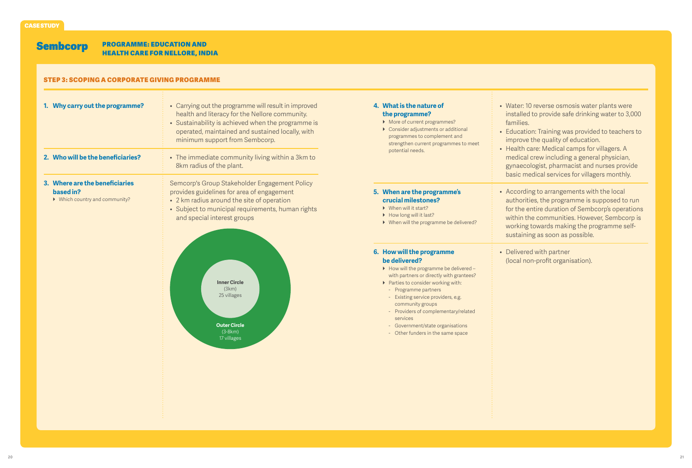#### Sembcorp Programme: education and health care for nellore, india

# Step 3: Scoping a Corporate Giving Programme

| 1. Why carry out the programme?                                               | • Carrying out the programme will result in improved<br>health and literacy for the Nellore community.<br>• Sustainability is achieved when the programme is<br>operated, maintained and sustained locally, with<br>minimum support from Sembcorp. | 4. What is the nature of<br>the programme?<br>• More of current programmes?<br>Consider adjustments or additional<br>programmes to complement and<br>strengthen current programmes to meet<br>potential needs.                                                                                                                                                                          | • Water: 10 reverse osmosis water plants were<br>installed to provide safe drinking water to 3,000<br>families.<br>• Education: Training was provided to teachers to<br>improve the quality of education.<br>• Health care: Medical camps for villagers. A<br>medical crew including a general physician,<br>gynaecologist, pharmacist and nurses provide<br>basic medical services for villagers monthly. |
|-------------------------------------------------------------------------------|----------------------------------------------------------------------------------------------------------------------------------------------------------------------------------------------------------------------------------------------------|-----------------------------------------------------------------------------------------------------------------------------------------------------------------------------------------------------------------------------------------------------------------------------------------------------------------------------------------------------------------------------------------|------------------------------------------------------------------------------------------------------------------------------------------------------------------------------------------------------------------------------------------------------------------------------------------------------------------------------------------------------------------------------------------------------------|
| 2. Who will be the beneficiaries?                                             | • The immediate community living within a 3km to<br>8km radius of the plant.                                                                                                                                                                       |                                                                                                                                                                                                                                                                                                                                                                                         |                                                                                                                                                                                                                                                                                                                                                                                                            |
| 3. Where are the beneficiaries<br>based in?<br>• Which country and community? | Semcorp's Group Stakeholder Engagement Policy<br>provides guidelines for area of engagement<br>• 2 km radius around the site of operation<br>• Subject to municipal requirements, human rights<br>and special interest groups                      | 5. When are the programme's<br>crucial milestones?<br>$\triangleright$ When will it start?<br>How long will it last?<br>• When will the programme be delivered?                                                                                                                                                                                                                         | • According to arrangements with the local<br>authorities, the programme is supposed to run<br>for the entire duration of Sembcorp's operations<br>within the communities. However, Sembcorp is<br>working towards making the programme self-<br>sustaining as soon as possible.                                                                                                                           |
|                                                                               | <b>Inner Circle</b><br>(3km)<br>25 villages<br><b>Outer Circle</b><br>$(3-8km)$<br>17 villages                                                                                                                                                     | 6. How will the programme<br>be delivered?<br>• How will the programme be delivered -<br>with partners or directly with grantees?<br>▶ Parties to consider working with:<br>- Programme partners<br>- Existing service providers, e.g.<br>community groups<br>- Providers of complementary/related<br>services<br>- Government/state organisations<br>- Other funders in the same space | • Delivered with partner<br>(local non-profit organisation).                                                                                                                                                                                                                                                                                                                                               |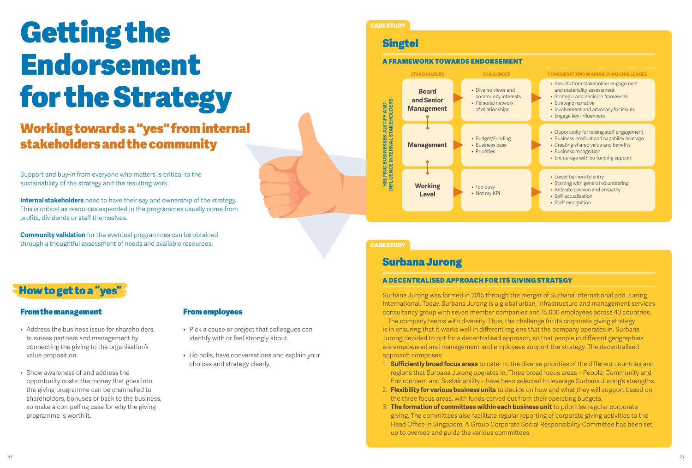# Getting the Endorsement for the Strategy

# Working towards a "yes" from internal stakeholders and the community

Support and buy-in from everyone who matters is critical to the sustainability of the strategy and the resulting work.

**Internal stakeholders** need to have their say and ownership of the strategy. This is critical as resources expended in the programmes usually come from profits, dividends or staff themselves.

**Community validation** for the eventual programmes can be obtained through a thoughtful assessment of needs and available resources.

# How to get to a "yes"

# From the management

- Address the business issue for shareholders, business partners and management by connecting the giving to the organisation's value proposition.
- Show awareness of and address the opportunity costs: the money that goes into the giving programme can be channelled to shareholders, bonuses or back to the business, so make a compelling case for why the giving programme is worth it.

# From employees

- Pick a cause or project that colleagues can identify with or feel strongly about.
- Do polls, have conversations and explain your choices and strategy clearly.

# CASE STUDY

# **Singtel**

#### A Framework Towards Endorsement



# CASE STUDY

# Surbana Jurong

#### A Decentralised Approach for Its Giving Strategy

Surbana Jurong was formed in 2015 through the merger of Surbana International and Jurong International. Today, Surbana Jurong is a global urban, infrastructure and management services consultancy group with seven member companies and 15,000 employees across 40 countries.

The company teems with diversity. Thus, the challenge for its corporate giving strategy is in ensuring that it works well in different regions that the company operates in. Surbana Jurong decided to opt for a decentralised approach, so that people in different geographies are empowered and management and employees support the strategy. The decentralised approach comprises:

- 1. **Sufficiently broad focus areas** to cater to the diverse priorities of the different countries and regions that Surbana Jurong operates in. Three broad focus areas – People, Community and Environment and Sustainability – have been selected to leverage Surbana Jurong's strengths.
- 2. **Flexibility for various business units** to decide on how and what they will support based on the three focus areas, with funds carved out from their operating budgets.
- 3. **The formation of committees within each business unit** to prioritise regular corporate giving. The committees also facilitate regular reporting of corporate giving activities to the Head Office in Singapore. A Group Corporate Social Responsibility Committee has been set up to oversee and guide the various committees.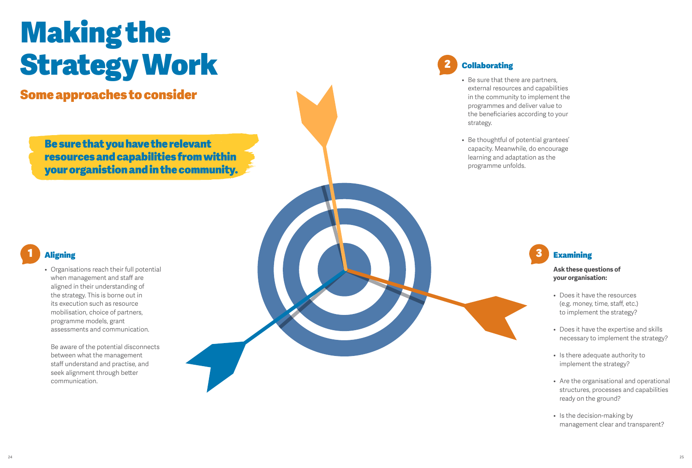# Making the Strategy Work

Some approaches to consider

Be sure that you have the relevant resources and capabilities from within your organistion and in the community.

# **Aligning**

• Organisations reach their full potential when management and staff are aligned in their understanding of the strategy. This is borne out in its execution such as resource mobilisation, choice of partners, programme models, grant assessments and communication.

Be aware of the potential disconnects between what the management staff understand and practise, and seek alignment through better communication.

# **Collaborating**

- Be sure that there are partners, external resources and capabilities in the community to implement the programmes and deliver value to the beneficiaries according to your strategy.
- • Be thoughtful of potential grantees' capacity. Meanwhile, do encourage learning and adaptation as the programme unfolds.

# **Examining**

## **Ask these questions of your organisation:**

- • Does it have the resources (e.g. money, time, staff, etc.) to implement the strategy?
- • Does it have the expertise and skills necessary to implement the strategy?
- Is there adequate authority to implement the strategy?
- Are the organisational and operational structures, processes and capabilities ready on the ground?
- Is the decision-making by management clear and transparent?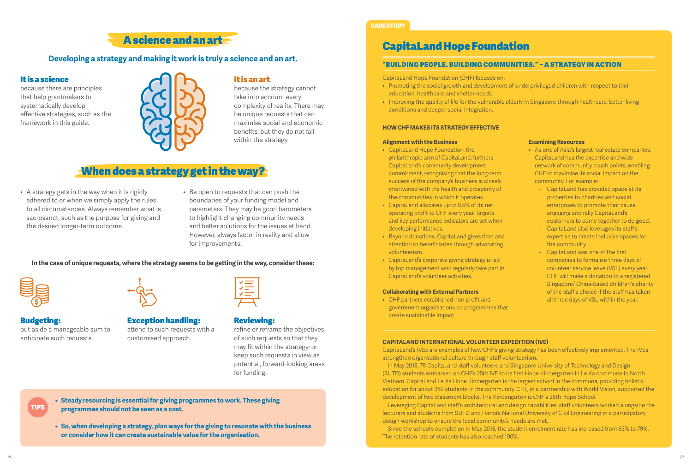# A science and an art

# **Developing a strategy and making it work is truly a science and an art.**

# It is a science

because there are principles that help grantmakers to systematically develop effective strategies, such as the framework in this guide.



# It is an art

because the strategy cannot take into account every complexity of reality. There may be unique requests that can maximise social and economic benefits, but they do not fall within the strategy.

# When does a strategy get in the way?

- A strategy gets in the way when it is rigidly adhered to or when we simply apply the rules to all circumstances. Always remember what is sacrosanct, such as the purpose for giving and the desired longer-term outcome.
- • Be open to requests that can push the boundaries of your funding model and parameters. They may be good barometers to highlight changing community needs and better solutions for the issues at hand. However, always factor in reality and allow for improvements.

# **In the case of unique requests, where the strategy seems to be getting in the way, consider these:**



# Budgeting:

TIPS

put aside a manageable sum to anticipate such requests.

## Exception handling: attend to such requests with a customised approach.

# Reviewing:

refine or reframe the objectives of such requests so that they may fit within the strategy; or keep such requests in view as potential, forward-looking areas for funding.

**• Steady resourcing is essential for giving programmes to work. These giving programmes should not be seen as a cost.**

**• So, when developing a strategy, plan ways for the giving to resonate with the business or consider how it can create sustainable value for the organisation.**

## CASE STUDY

# CapitaLand Hope Foundation

#### "Building People. Building Communities." – A Strategy in Action

CapitaLand Hope Foundation (CHF) focuses on:

- • Promoting the social growth and development of underprivileged children with respect to their education, healthcare and shelter needs.
- Improving the quality of life for the vulnerable elderly in Singapore through healthcare, better living conditions and deeper social integration.

#### **How CHF Makes Its Strategy Effective**

#### **Alignment with the Business**

- • CapitaLand Hope Foundation, the philanthropic arm of CapitaLand, furthers CapitaLand's community development commitment, recognising that the long-term success of the company's business is closely intertwined with the health and prosperity of the communities in which it operates.
- • CapitaLand allocates up to 0.5% of its net operating profit to CHF every year. Targets and key performance indicators are set when developing initiatives.
- • Beyond donations, CapitaLand gives time and attention to beneficiaries through advocating volunteerism.
- • CapitaLand's corporate giving strategy is led by top management who regularly take part in CapitaLand's volunteer activities.

#### **Collaborating with External Partners**

• CHF partners established non-profit and government organisations on programmes that create sustainable impact.

#### **Examining Resources**

- As one of Asia's largest real estate companies, CapitaLand has the expertise and wide network of community touch points, enabling CHF to maximise its social impact on the community. For example:
	- CapitaLand has provided space at its properties to charities and social enterprises to promote their cause, engaging and rally CapitaLand's customers to come together to do good.
	- CapitaLand also leverages its staff's expertise to create inclusive spaces for the community.
	- CapitaLand was one of the first companies to formalise three days of volunteer service leave (VSL) every year. CHF will make a donation to a registered Singapore/ China-based children's charity of the staff's choice if the staff has taken all three days of VSL within the year.

#### **CapitaLand International Volunteer Expedition (IVE)**

CapitaLand's IVEs are examples of how CHF's giving strategy has been effectively implemented. The IVEs strengthen organsational culture through staff volunteerism.

In May 2018, 79 CapitaLand staff volunteers and Singapore University of Technology and Design (SUTD) students embarked on CHF's 25th IVE to its first Hope Kindergarten in Le Xa commune in North Vietnam. CapitaLand Le Xa Hope Kindergarten is the largest school in the commune, providing holistic education for about 350 students in the community. CHF, in a partnership with World Vision, supported the development of two classroom blocks. The Kindergarten is CHF's 28th Hope School.

Leveraging CapitaLand staff's architectural and design capabilities, staff volunteers worked alongside the lecturers and students from SUTD and Hanoi's National University of Civil Engineering in a participatory design workshop to ensure the local community's needs are met.

Since the school's completion in May 2018, the student enrolment rate has increased from 63% to 79%. The retention rate of students has also reached 100%.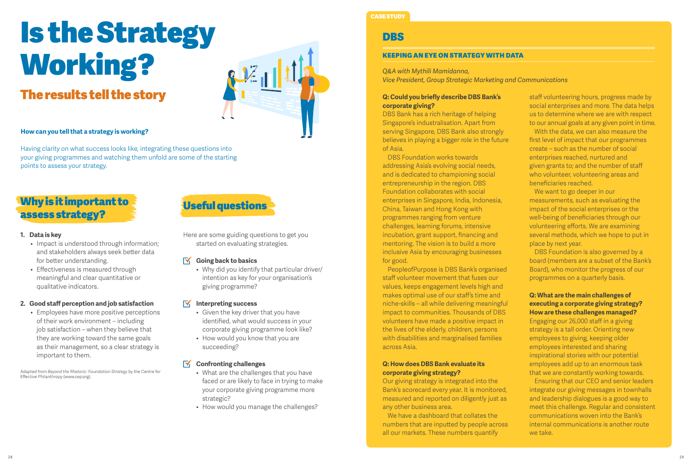# Is the Strategy Working?

# The results tell the story



# **How can you tell that a strategy is working?**

Having clarity on what success looks like, integrating these questions into your giving programmes and watching them unfold are some of the starting points to assess your strategy.

# Why is it important to assess strategy?

### **1. Data is key**

- Impact is understood through information; and stakeholders always seek better data for better understanding.
- Effectiveness is measured through meaningful and clear quantitative or qualitative indicators.

# **2. Good staff perception and job satisfaction**

• Employees have more positive perceptions of their work environment – including job satisfaction – when they believe that they are working toward the same goals as their management, so a clear strategy is important to them.

Adapted from *Beyond the Rhetoric: Foundation Strategy* by the Centre for Effective Philanthropy (www.cep.org).

# Useful questions

Here are some guiding questions to get you started on evaluating strategies.

#### $\overline{\mathsf{N}}$ **Going back to basics**

• Why did you identify that particular driver/ intention as key for your organisation's giving programme?

# **Interpreting success**

- Given the key driver that you have identified, what would success in your corporate giving programme look like?
- How would you know that you are succeeding?

# **K** Confronting challenges

- What are the challenges that you have faced or are likely to face in trying to make your corporate giving programme more strategic?
- How would you manage the challenges?

# CASE STUDY

# DBS

### Keeping an Eye on Strategy with Data

### *Q&A with Mythili Mamidanna,*

*Vice President, Group Strategic Marketing and Communications*

## **Q: Could you briefly describe DBS Bank's corporate giving?**

DBS Bank has a rich heritage of helping Singapore's industralisation. Apart from serving Singapore, DBS Bank also strongly believes in playing a bigger role in the future of Asia.

DBS Foundation works towards addressing Asia's evolving social needs, and is dedicated to championing social entrepreneurship in the region. DBS Foundation collaborates with social enterprises in Singapore, India, Indonesia, China, Taiwan and Hong Kong with programmes ranging from venture challenges, learning forums, intensive incubation, grant support, financing and mentoring. The vision is to build a more inclusive Asia by encouraging businesses for good.

PeopleofPurpose is DBS Bank's organised staff volunteer movement that fuses our values, keeps engagement levels high and makes optimal use of our staff's time and niche-skills – all while delivering meaningful impact to communities. Thousands of DBS volunteers have made a positive impact in the lives of the elderly, children, persons with disabilities and marginalised families across Asia.

## **Q: How does DBS Bank evaluate its corporate giving strategy?**

Our giving strategy is integrated into the Bank's scorecard every year. It is monitored, measured and reported on diligently just as any other business area.

We have a dashboard that collates the numbers that are inputted by people across all our markets. These numbers quantify

staff volunteering hours, progress made by social enterprises and more. The data helps us to determine where we are with respect to our annual goals at any given point in time.

With the data, we can also measure the first level of impact that our programmes create – such as the number of social enterprises reached, nurtured and given grants to; and the number of staff who volunteer, volunteering areas and beneficiaries reached.

We want to go deeper in our measurements, such as evaluating the impact of the social enterprises or the well-being of beneficiaries through our volunteering efforts. We are examining several methods, which we hope to put in place by next year.

DBS Foundation is also governed by a board (members are a subset of the Bank's Board), who monitor the progress of our programmes on a quarterly basis.

## **Q: What are the main challenges of executing a corporate giving strategy? How are these challenges managed?**

Engaging our 26,000 staff in a giving strategy is a tall order. Orienting new employees to giving, keeping older employees interested and sharing inspirational stories with our potential employees add up to an enormous task that we are constantly working towards.

Ensuring that our CEO and senior leaders integrate our giving messages in townhalls and leadership dialogues is a good way to meet this challenge. Regular and consistent communications woven into the Bank's internal communications is another route we take.